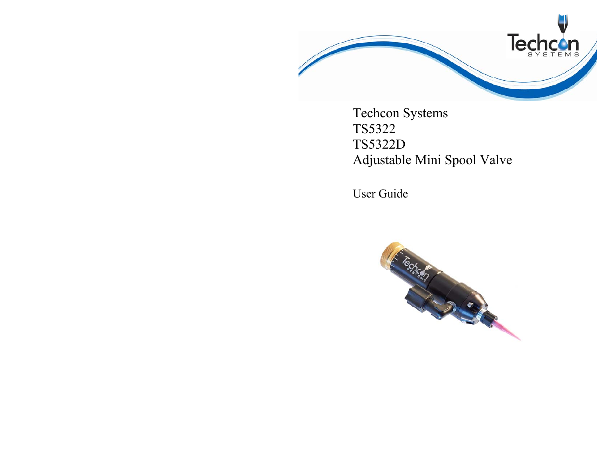

Techcon Systems TS5322 TS5322D Adjustable Mini Spool Valve

User Guide

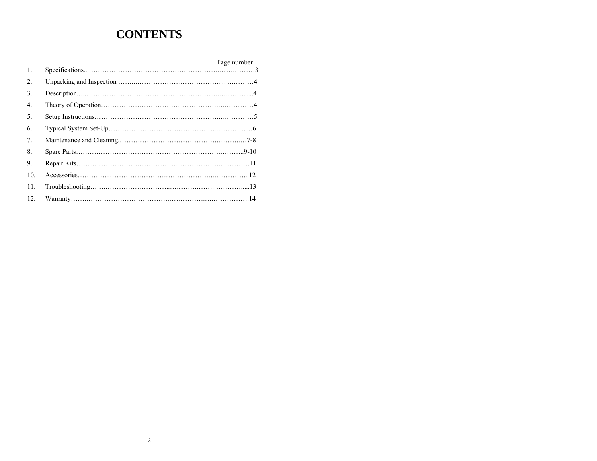# **CONTENTS**

|                  | Page number |
|------------------|-------------|
| 1.               |             |
| $\overline{2}$ . |             |
| 3.               |             |
| $\overline{4}$ . |             |
| 5.               |             |
| 6.               |             |
| 7.               |             |
| 8.               |             |
| 9.               |             |
| 10.              |             |
| 11.              |             |
| 12.              |             |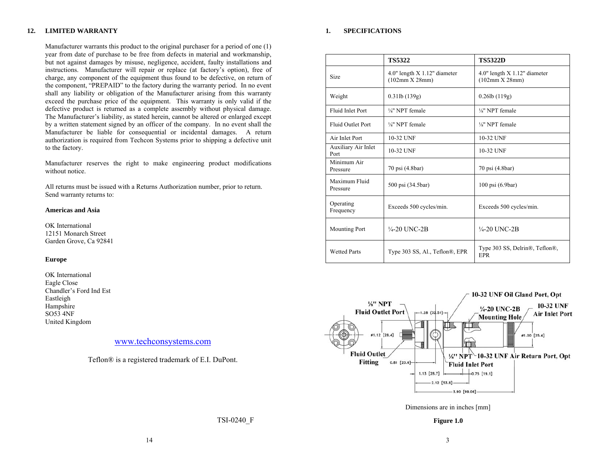#### **12.LIMITED WARRANTY**

Manufacturer warrants this product to the original purchaser for a period of one (1) year from date of purchase to be free from defects in material and workmanship, but not against damages by misuse, negligence, accident, faulty installations and instructions. Manufacturer will repair or replace (at factory's option), free of charge, any component of the equipment thus found to be defective, on return of the component, "PREPAID" to the factory during the warranty period. In no event shall any liability or obligation of the Manufacturer arising from this warranty exceed the purchase price of the equipment. This warranty is only valid if the defective product is returned as a complete assembly without physical damage. The Manufacturer's liability, as stated herein, cannot be altered or enlarged except by a written statement signed by an officer of the company. In no event shall the Manufacturer be liable for consequential or incidental damages. A return authorization is required from Techcon Systems prior to shipping a defective unit to the factory.

Manufacturer reserves the right to make engineering product modifications without notice.

All returns must be issued with a Returns Authorization number, prior to return. Send warranty returns to:

### **Americas and Asia**

OK International 12151 Monarch Street Garden Grove, Ca 92841

### **Europe**

OK International Eagle Close Chandler's Ford Ind Est Eastleigh Hampshire SO53 4NF United Kingdom

# www.techconsystems.com

Teflon® is a registered trademark of E.I. DuPont.

TSI-0240\_F

#### **1.SPECIFICATIONS**

|                             | <b>TS5322</b>                                     | <b>TS5322D</b>                                      |
|-----------------------------|---------------------------------------------------|-----------------------------------------------------|
| Size                        | $4.0$ " length X 1.12" diameter<br>(102mm X 28mm) | $4.0$ " length $X$ 1.12" diameter<br>(102mm X 28mm) |
| Weight                      | $0.31$ lb $(139g)$                                | $0.26$ lb $(119g)$                                  |
| <b>Fluid Inlet Port</b>     | 1/ <sub>8</sub> " NPT female                      | 1/ <sub>8</sub> " NPT female                        |
| <b>Fluid Outlet Port</b>    | 1/ <sub>8</sub> " NPT female                      | 1/ <sub>8</sub> " NPT female                        |
| Air Inlet Port              | 10-32 UNF                                         | 10-32 UNF                                           |
| Auxiliary Air Inlet<br>Port | 10-32 UNF                                         | 10-32 UNF                                           |
| Minimum Air<br>Pressure     | 70 psi (4.8bar)                                   | 70 psi (4.8bar)                                     |
| Maximum Fluid<br>Pressure   | 500 psi (34.5bar)                                 | 100 psi (6.9bar)                                    |
| Operating<br>Frequency      | Exceeds 500 cycles/min.                           | Exceeds 500 cycles/min.                             |
| <b>Mounting Port</b>        | $\frac{1}{4}$ -20 UNC-2B                          | $\frac{1}{4}$ -20 UNC-2B                            |
| <b>Wetted Parts</b>         | Type 303 SS, Al., Teflon®, EPR                    | Type 303 SS, Delrin®, Teflon®,<br><b>EPR</b>        |



Dimensions are in inches [mm]

**Figure 1.0**

14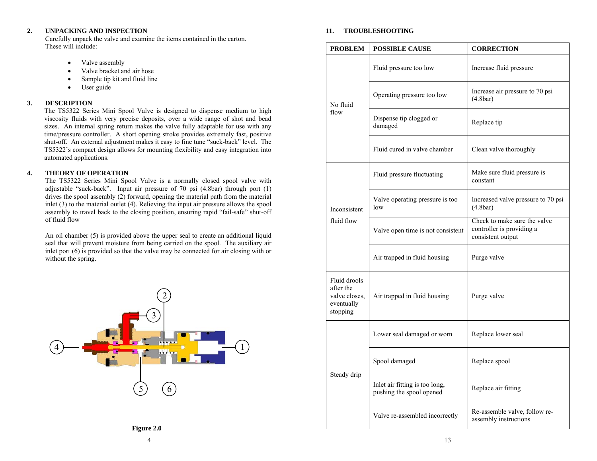#### **2.UNPACKING AND INSPECTION**

Carefully unpack the valve and examine the items contained in the carton. These will include:

- •Valve assembly
- •Valve bracket and air hose
- •Sample tip kit and fluid line
- •User guide

#### **3.DESCRIPTION**

The TS5322 Series Mini Spool Valve is designed to dispense medium to high viscosity fluids with very precise deposits, over a wide range of shot and bead sizes. An internal spring return makes the valve fully adaptable for use with any time/pressure controller. A short opening stroke provides extremely fast, positive shut-off. An external adjustment makes it easy to fine tune "suck-back" level. The TS5322's compact design allows for mounting flexibility and easy integration into automated applications.

#### **4.THEORY OF OPERATION**

The TS5322 Series Mini Spool Valve is a normally closed spool valve with adjustable "suck-back". Input air pressure of 70 psi (4.8bar) through port (1) drives the spool assembly  $(2)$  forward, opening the material path from the material inlet (3) to the material outlet (4). Relieving the input air pressure allows the spool assembly to travel back to the closing position, ensuring rapid "fail-safe" shut-off of fluid flow

An oil chamber (5) is provided above the upper seal to create an additional liquid seal that will prevent moisture from being carried on the spool. The auxiliary air inlet port (6) is provided so that the valve may be connected for air closing with or without the spring.



#### **11.TROUBLESHOOTING**

| <b>PROBLEM</b>                                                       | <b>POSSIBLE CAUSE</b>                                      | <b>CORRECTION</b>                                                              |  |
|----------------------------------------------------------------------|------------------------------------------------------------|--------------------------------------------------------------------------------|--|
|                                                                      | Fluid pressure too low                                     | Increase fluid pressure                                                        |  |
| No fluid                                                             | Operating pressure too low                                 | Increase air pressure to 70 psi<br>(4.8bar)                                    |  |
| flow                                                                 | Dispense tip clogged or<br>damaged                         | Replace tip                                                                    |  |
|                                                                      | Fluid cured in valve chamber                               | Clean valve thoroughly                                                         |  |
|                                                                      | Fluid pressure fluctuating                                 | Make sure fluid pressure is<br>constant                                        |  |
| Inconsistent                                                         | Valve operating pressure is too<br>low                     | Increased valve pressure to 70 psi<br>(4.8bar)                                 |  |
| fluid flow                                                           | Valve open time is not consistent                          | Check to make sure the valve<br>controller is providing a<br>consistent output |  |
|                                                                      | Air trapped in fluid housing                               | Purge valve                                                                    |  |
| Fluid drools<br>after the<br>valve closes,<br>eventually<br>stopping | Air trapped in fluid housing                               | Purge valve                                                                    |  |
|                                                                      | Lower seal damaged or worn                                 | Replace lower seal                                                             |  |
|                                                                      | Spool damaged                                              | Replace spool                                                                  |  |
| Steady drip                                                          | Inlet air fitting is too long,<br>pushing the spool opened | Replace air fitting                                                            |  |
|                                                                      | Valve re-assembled incorrectly                             | Re-assemble valve, follow re-<br>assembly instructions                         |  |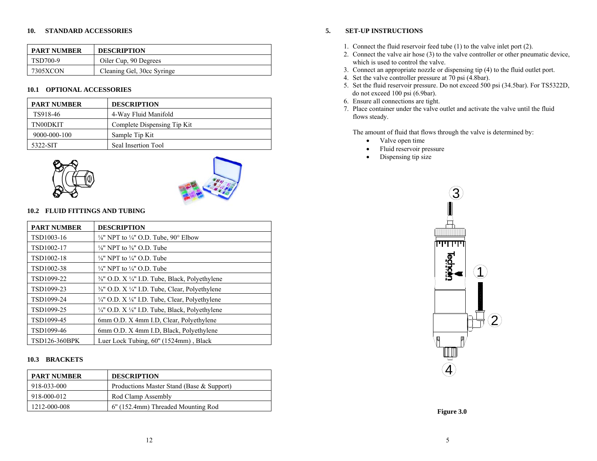## **10. STANDARD ACCESSORIES**

| <b>PART NUMBER</b> | <b>DESCRIPTION</b>         |
|--------------------|----------------------------|
| TSD700-9           | Oiler Cup, 90 Degrees      |
| 7305XCON           | Cleaning Gel, 30cc Syringe |

# **10.1 OPTIONAL ACCESSORIES**

| <b>PART NUMBER</b> | <b>DESCRIPTION</b>          |
|--------------------|-----------------------------|
| TS918-46           | 4-Way Fluid Manifold        |
| TN00DKIT           | Complete Dispensing Tip Kit |
| 9000-000-100       | Sample Tip Kit              |
| 5322-SIT           | Seal Insertion Tool         |





# **10.2 FLUID FITTINGS AND TUBING**

| <b>PART NUMBER</b>   | <b>DESCRIPTION</b>                                                    |
|----------------------|-----------------------------------------------------------------------|
| TSD1003-16           | $\frac{1}{8}$ " NPT to $\frac{1}{4}$ " O.D. Tube, 90° Elbow           |
| TSD1002-17           | $\frac{1}{8}$ " NPT to $\frac{3}{8}$ " O.D. Tube                      |
| TSD1002-18           | $\frac{1}{8}$ " NPT to $\frac{1}{4}$ " O.D. Tube                      |
| TSD1002-38           | $\frac{1}{4}$ " NPT to $\frac{1}{4}$ " O.D. Tube                      |
| TSD1099-22           | $\frac{3}{8}$ " O.D. X $\frac{1}{4}$ " I.D. Tube, Black, Polyethylene |
| TSD1099-23           | $\frac{3}{8}$ " O.D. X $\frac{1}{4}$ " I.D. Tube, Clear, Polyethylene |
| TSD1099-24           | $\frac{1}{4}$ " O.D. X $\frac{1}{8}$ " I.D. Tube, Clear, Polyethylene |
| TSD1099-25           | $\frac{1}{4}$ " O.D. X $\frac{1}{8}$ " I.D. Tube, Black, Polyethylene |
| TSD1099-45           | 6mm O.D. X 4mm I.D, Clear, Polyethylene                               |
| TSD1099-46           | 6mm O.D. X 4mm I.D. Black, Polyethylene                               |
| <b>TSD126-360BPK</b> | Luer Lock Tubing, 60" (1524mm), Black                                 |

# **10.3 BRACKETS**

| <b>PART NUMBER</b> | <b>DESCRIPTION</b>                        |
|--------------------|-------------------------------------------|
| 918-033-000        | Productions Master Stand (Base & Support) |
| 918-000-012        | Rod Clamp Assembly                        |
| 1212-000-008       | 6" (152.4mm) Threaded Mounting Rod        |

# **5. SET-UP INSTRUCTIONS**

- 1. Connect the fluid reservoir feed tube (1) to the valve inlet port (2).
- 2. Connect the valve air hose (3) to the valve controller or other pneumatic device, which is used to control the valve.
- 3. Connect an appropriate nozzle or dispensing tip (4) to the fluid outlet port.
- 4. Set the valve controller pressure at 70 psi (4.8bar).
- 5. Set the fluid reservoir pressure. Do not exceed 500 psi (34.5bar). For TS5322D, do not exceed 100 psi (6.9bar).
- 6. Ensure all connections are tight.
- 7. Place container under the valve outlet and activate the valve until the fluid flows steady.

The amount of fluid that flows through the valve is determined by:

- Valve open time
- •Fluid reservoir pressure
- •Dispensing tip size



**Figure 3.0**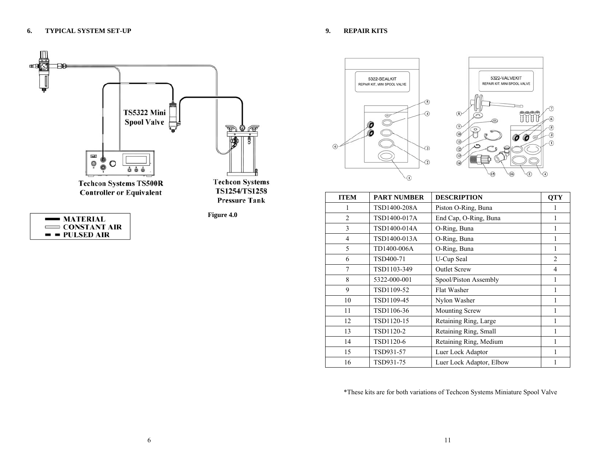

| $\longrightarrow$ MATERIAL |  |
|----------------------------|--|
| $\equiv$ CONSTANT AIR      |  |
| $=$ $=$ PULSED AIR         |  |

TS1254/TS1258 **Pressure Tank** 

**Figure 4.0** 





| <b>ITEM</b>    | <b>PART NUMBER</b> | <b>DESCRIPTION</b>       | <b>QTY</b>     |
|----------------|--------------------|--------------------------|----------------|
|                | TSD1400-208A       | Piston O-Ring, Buna      | 1              |
| $\overline{2}$ | TSD1400-017A       | End Cap, O-Ring, Buna    | 1              |
| 3              | TSD1400-014A       | O-Ring, Buna             | 1              |
| $\overline{4}$ | TSD1400-013A       | O-Ring, Buna             | 1              |
| 5              | TD1400-006A        | O-Ring, Buna             | 1              |
| 6              | TSD400-71          | U-Cup Seal               | $\overline{2}$ |
| 7              | TSD1103-349        | <b>Outlet Screw</b>      | 4              |
| 8              | 5322-000-001       | Spool/Piston Assembly    | 1              |
| 9              | TSD1109-52         | Flat Washer              | 1              |
| 10             | TSD1109-45         | Nylon Washer             | 1              |
| 11             | TSD1106-36         | <b>Mounting Screw</b>    |                |
| 12             | TSD1120-15         | Retaining Ring, Large    | 1              |
| 13             | TSD1120-2          | Retaining Ring, Small    | 1              |
| 14             | TSD1120-6          | Retaining Ring, Medium   | 1              |
| 15             | TSD931-57          | Luer Lock Adaptor        |                |
| 16             | TSD931-75          | Luer Lock Adaptor, Elbow |                |

\*These kits are for both variations of Techcon Systems Miniature Spool Valve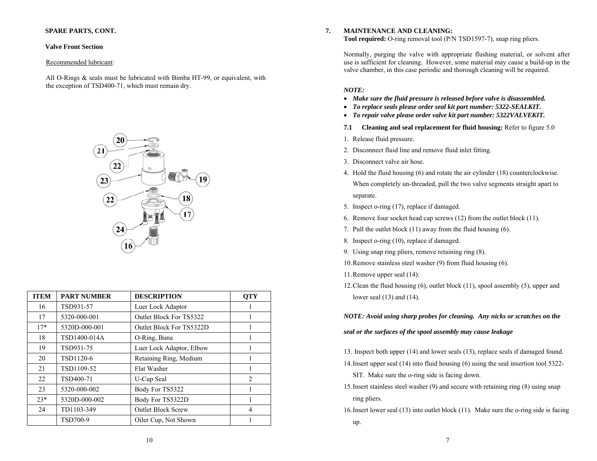# **SPARE PARTS, CONT.**

### **Valve Front Section**

#### Recommended lubricant:

All O-Rings & seals must be lubricated with Bimba HT-99, or equivalent, with the exception of TSD400-71, which must remain dry.



| <b>ITEM</b> | <b>PART NUMBER</b> | <b>DESCRIPTION</b>        | <b>OTY</b>     |
|-------------|--------------------|---------------------------|----------------|
| 16          | TSD931-57          | Luer Lock Adaptor         |                |
| 17          | 5320-000-001       | Outlet Block For TS5322   |                |
| $17*$       | 5320D-000-001      | Outlet Block For TS5322D  | 1              |
| 18          | TSD1400-014A       | O-Ring, Buna              | 1              |
| 19          | TSD931-75          | Luer Lock Adaptor, Elbow  | 1              |
| 20          | TSD1120-6          | Retaining Ring, Medium    | 1              |
| 21          | TSD1109-52         | Flat Washer               |                |
| 22          | TSD400-71          | U-Cup Seal                | 2              |
| 23          | 5320-000-002       | Body For TS5322           |                |
| $23*$       | 5320D-000-002      | Body For TS5322D          |                |
| 24          | TD1103-349         | <b>Outlet Block Screw</b> | $\overline{4}$ |
|             | <b>TSD700-9</b>    | Oiler Cup, Not Shown      |                |

#### **7.MAINTENANCE AND CLEANING:**

**Tool required:** O-ring removal tool (P/N TSD1597-7), snap ring pliers.

Normally, purging the valve with appropriate flushing material, or solvent after use is sufficient for cleaning. However, some material may cause a build-up in the valve chamber, in this case periodic and thorough cleaning will be required.

### *NOTE:*

- *Make sure the fluid pressure is released before valve is disassembled.*
- *To replace seals please order seal kit part number: 5322-SEALKIT.*
- *To repair valve please order valve kit part number: 5322VALVEKIT.*
- **7.1 Cleaning and seal replacement for fluid housing:** Refer to figure 5.0
- 1. Release fluid pressure.
- 2. Disconnect fluid line and remove fluid inlet fitting.
- 3. Disconnect valve air hose.
- 4. Hold the fluid housing (6) and rotate the air cylinder (18) counterclockwise. When completely un-threaded, pull the two valve segments straight apart to separate.
- 5. Inspect o-ring (17), replace if damaged.
- 6. Remove four socket head cap screws (12) from the outlet block (11).
- 7. Pull the outlet block (11) away from the fluid housing (6).
- 8. Inspect o-ring (10), replace if damaged.
- 9. Using snap ring pliers, remove retaining ring (8).
- 10.Remove stainless steel washer (9) from fluid housing (6).
- 11.Remove upper seal (14).
- 12.Clean the fluid housing (6), outlet block (11), spool assembly (5), upper and lower seal (13) and (14).

*NOTE: Avoid using sharp probes for cleaning. Any nicks or scratches on the* 

*seal or the surfaces of the spool assembly may cause leakage* 

13. Inspect both upper (14) and lower seals (13), replace seals if damaged found.

- 14.Insert upper seal (14) into fluid housing (6) using the seal insertion tool 5322- SIT. Make sure the o-ring side is facing down.
- 15.Insert stainless steel washer (9) and secure with retaining ring (8) using snap ring pliers.
- 16.Insert lower seal (13) into outlet block (11). Make sure the o-ring side is facing up.